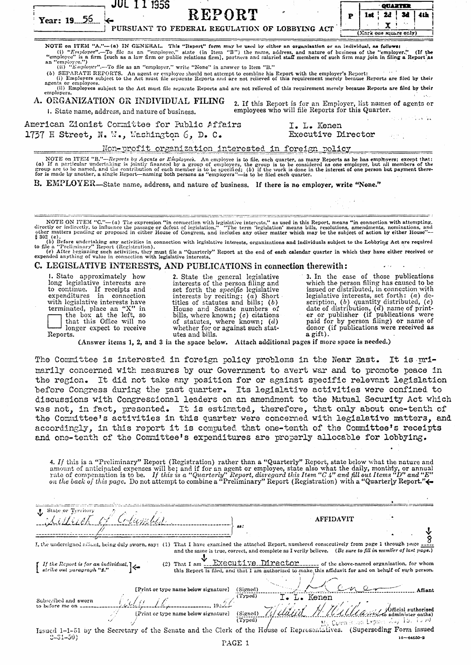| REPORT<br>34<br>lst<br>P<br>Year: 19 56<br>PURSUANT TO FEDERAL REGULATION OF LOBBYING ACT<br>(Mark one square only)<br>NOTE on ITEM "A."--(a) IN GENERAL. This "Report" form may be used by either an organisation or an individual, as follows:<br>(i) "Employee".—To file as an "employee," state (in Item "B") the name, address, and nature of business of the "employer." (If the<br>"employee" is a firm [such as a law firm or public relations firm], partners and salaried staff members of such firm may join in filing a Report as<br>an "employee.")<br>(ii) "Employer".--To file as an "employer," write "None" in answer to Item "B."<br>(b) SEPARATE REPORTS. An agent or employee should not attempt to combine his Report with the employer's Report:<br>(i) Employers subject to the Act must file separate Reports and are not relieved of this requirement merely because Reports are filed by their<br>agents or employees.<br>(ii) Employees subject to the Act must file separate Reports and are not relieved of this requirement merely because Reports are filed by their<br>employers,<br>A. ORGANIZATION OR INDIVIDUAL FILING<br>2. If this Report is for an Employer, list names of agents or<br>employees who will file Reports for this Quarter.<br>1. State name, address, and nature of business.<br><b>Service State</b><br>American Zionist Committee for Public Affairs<br>I. L. Kenen<br>1737 H Street, N.W., Mashington 6, D.C.<br><b>Executive Director</b><br>Non-profit organization interested in foreign policy<br>NOTE on ITEM "B."-Reports by Agents or Employees. An employee is to file, each quarter, as many Reports as he has employers; except that:<br>(a) If a particular undertaking is jointly financed by a group of employers, the group is to be considered as one employer, but all members of the<br>group are to be named, and the contribution of each member is to be specified; (b) if the work is done in the interest of one person but payment there-<br>for is made by another, a single Report-naming both persons as "employers"-is to be filed each quarter.<br>B. EMPLOYER—State name, address, and nature of business. If there is no employer, write "None."<br>NOTE ON ITEM "C."-(a) The expression "in connection with legislative interests," as used in this Report, means "in connection with attempting, directly or indirectly, to influence the passage or defeat of legislation." "Th<br>other matters pending or proposed in either House of Congress, and includes any other matter which may be the subject of action by either House"-<br>$$302$ (e).<br>(b) Before undertaking any activities in connection with legislative interests, organizations and individuals subject to the Lobbying Act are required<br>to file a "Preliminary" Report (Registration).<br>(c) After beginning such activities, they must file a "Quarterly" Report at the end of each calendar quarter in which they have either received or<br>expended anything of value in connection with legislative interests.<br>C. LEGISLATIVE INTERESTS, AND PUBLICATIONS in connection therewith:<br>1. State approximately how<br>3. In the case of those publications<br>2. State the general legislative<br>long legislative interests are<br>which the person filing has caused to be<br>interests of the person filing and<br>to continue. If receipts and<br>issued or distributed, in connection with<br>set forth the <i>specific</i> legislative<br>expenditures in connection<br>interests by reciting: $(a)$ Short<br>legislative interests, set forth: $(a)$ de-<br>scription, $(b)$ quantity distributed, $(c)$<br>with legislative interests have<br>titles of statutes and bills; $(b)$<br>date of distribution, $(d)$ name of print-<br>terminated, place an " $X$ " in<br>House and Senate numbers of<br>er or publisher (if publications were<br>the box at the left, so<br>bills, where known; $(c)$ citations<br>paid for by person filing) or name of<br>that this Office will no<br>of statutes, where known; $(d)$<br>donor (if publications were received as<br>longer expect to receive<br>whether for or against such stat-<br>utes and bills.<br>a gift).<br>Reports.<br>(Answer items 1, 2, and 3 in the space below. Attach additional pages if more space is needed.)<br>The Committee is interested in foreign policy problems in the Near East. It is mri-<br>marily concerned with measures by our Government to avert war and to promote peace in<br>the region. It did not take any position for or against specific relevant legislation<br>before Congress during the past quarter. Its legislative activities were confined to<br>discussions with Congressional leaders on an amendment to the Matual Security Act which<br>was not, in fact, presented. It is estimated, therefore, that only about one-tenth of<br>the Committee's activities in this quarter were concerned with legislative matters, and<br>accordingly, in this report it is computed that one-tenth of the Committee's receipts<br>and one-tenth of the Committee's expenditures are properly allocable for lobbying.<br>4. If this is a "Preliminary" Report (Registration) rather than a "Quarterly" Report, state below what the nature and<br>amount of anticipated expenses will be; and if for an agent or employee, state also what the daily, monthly, or annual<br>rate of compensation is to be. If this is a "Quarterly" Report, disregard this Item "C 4" and fill out Items "D" and "E"<br>on the back of this page. Do not attempt to combine a "Preliminary" Report (Registration) with a "Qua<br>State or Territory<br><b>AFFIDAVIT</b><br>I, the undersigned adjunt, being duly aworn, say: (1) That I have examined the attached Report, numbered consecutively from page 1 through page _______<br>and the same is true, correct, and complete as I verily believe. (Bc sure to fill in number of last page.)<br>(2) That I am  EXECULLIVE. Director of the above-named organization, for whom<br>If the Report is for an individual, $\left[\leftarrow$<br>strike out paragraph "2."<br>this Report is filed, and that I am authorized to make this affidavit for and on behalf of such person.<br>[Print or type name below signature]<br>(Signed)<br>(Typed)<br>I. L. Kenen<br>Subscribed and sworn<br>to before me on<br>fficial authorized<br>[Print or type name below signature] | <b>JUL 1 1 1956</b> |          |  | QUARTER           |     |
|-------------------------------------------------------------------------------------------------------------------------------------------------------------------------------------------------------------------------------------------------------------------------------------------------------------------------------------------------------------------------------------------------------------------------------------------------------------------------------------------------------------------------------------------------------------------------------------------------------------------------------------------------------------------------------------------------------------------------------------------------------------------------------------------------------------------------------------------------------------------------------------------------------------------------------------------------------------------------------------------------------------------------------------------------------------------------------------------------------------------------------------------------------------------------------------------------------------------------------------------------------------------------------------------------------------------------------------------------------------------------------------------------------------------------------------------------------------------------------------------------------------------------------------------------------------------------------------------------------------------------------------------------------------------------------------------------------------------------------------------------------------------------------------------------------------------------------------------------------------------------------------------------------------------------------------------------------------------------------------------------------------------------------------------------------------------------------------------------------------------------------------------------------------------------------------------------------------------------------------------------------------------------------------------------------------------------------------------------------------------------------------------------------------------------------------------------------------------------------------------------------------------------------------------------------------------------------------------------------------------------------------------------------------------------------------------------------------------------------------------------------------------------------------------------------------------------------------------------------------------------------------------------------------------------------------------------------------------------------------------------------------------------------------------------------------------------------------------------------------------------------------------------------------------------------------------------------------------------------------------------------------------------------------------------------------------------------------------------------------------------------------------------------------------------------------------------------------------------------------------------------------------------------------------------------------------------------------------------------------------------------------------------------------------------------------------------------------------------------------------------------------------------------------------------------------------------------------------------------------------------------------------------------------------------------------------------------------------------------------------------------------------------------------------------------------------------------------------------------------------------------------------------------------------------------------------------------------------------------------------------------------------------------------------------------------------------------------------------------------------------------------------------------------------------------------------------------------------------------------------------------------------------------------------------------------------------------------------------------------------------------------------------------------------------------------------------------------------------------------------------------------------------------------------------------------------------------------------------------------------------------------------------------------------------------------------------------------------------------------------------------------------------------------------------------------------------------------------------------------------------------------------------------------------------------------------------------------------------------------------------------------------------------------------------------------------------------------------------------------------------------------------------------------------------------------------------------------------------------------------------------------------------------------------------------------------------------------------------------------------------------------------------------------------------------------------------------------------------------------------------------------------------------------------------------------------------------------------------------------------------------------------------------------------------------------------------------------------------------------------------------------------------------------------------------------------------------------------------------------------------------------------------------------------------------------------------------------------------------------------------------------------------------------------------------------------------------------------------------------------------------------------------------------------------------------------------------------------------------------|---------------------|----------|--|-------------------|-----|
|                                                                                                                                                                                                                                                                                                                                                                                                                                                                                                                                                                                                                                                                                                                                                                                                                                                                                                                                                                                                                                                                                                                                                                                                                                                                                                                                                                                                                                                                                                                                                                                                                                                                                                                                                                                                                                                                                                                                                                                                                                                                                                                                                                                                                                                                                                                                                                                                                                                                                                                                                                                                                                                                                                                                                                                                                                                                                                                                                                                                                                                                                                                                                                                                                                                                                                                                                                                                                                                                                                                                                                                                                                                                                                                                                                                                                                                                                                                                                                                                                                                                                                                                                                                                                                                                                                                                                                                                                                                                                                                                                                                                                                                                                                                                                                                                                                                                                                                                                                                                                                                                                                                                                                                                                                                                                                                                                                                                                                                                                                                                                                                                                                                                                                                                                                                                                                                                                                                                                                                                                                                                                                                                                                                                                                                                                                                                                                                                                                                                                     |                     |          |  |                   | 4th |
|                                                                                                                                                                                                                                                                                                                                                                                                                                                                                                                                                                                                                                                                                                                                                                                                                                                                                                                                                                                                                                                                                                                                                                                                                                                                                                                                                                                                                                                                                                                                                                                                                                                                                                                                                                                                                                                                                                                                                                                                                                                                                                                                                                                                                                                                                                                                                                                                                                                                                                                                                                                                                                                                                                                                                                                                                                                                                                                                                                                                                                                                                                                                                                                                                                                                                                                                                                                                                                                                                                                                                                                                                                                                                                                                                                                                                                                                                                                                                                                                                                                                                                                                                                                                                                                                                                                                                                                                                                                                                                                                                                                                                                                                                                                                                                                                                                                                                                                                                                                                                                                                                                                                                                                                                                                                                                                                                                                                                                                                                                                                                                                                                                                                                                                                                                                                                                                                                                                                                                                                                                                                                                                                                                                                                                                                                                                                                                                                                                                                                     |                     |          |  |                   |     |
|                                                                                                                                                                                                                                                                                                                                                                                                                                                                                                                                                                                                                                                                                                                                                                                                                                                                                                                                                                                                                                                                                                                                                                                                                                                                                                                                                                                                                                                                                                                                                                                                                                                                                                                                                                                                                                                                                                                                                                                                                                                                                                                                                                                                                                                                                                                                                                                                                                                                                                                                                                                                                                                                                                                                                                                                                                                                                                                                                                                                                                                                                                                                                                                                                                                                                                                                                                                                                                                                                                                                                                                                                                                                                                                                                                                                                                                                                                                                                                                                                                                                                                                                                                                                                                                                                                                                                                                                                                                                                                                                                                                                                                                                                                                                                                                                                                                                                                                                                                                                                                                                                                                                                                                                                                                                                                                                                                                                                                                                                                                                                                                                                                                                                                                                                                                                                                                                                                                                                                                                                                                                                                                                                                                                                                                                                                                                                                                                                                                                                     |                     |          |  |                   |     |
|                                                                                                                                                                                                                                                                                                                                                                                                                                                                                                                                                                                                                                                                                                                                                                                                                                                                                                                                                                                                                                                                                                                                                                                                                                                                                                                                                                                                                                                                                                                                                                                                                                                                                                                                                                                                                                                                                                                                                                                                                                                                                                                                                                                                                                                                                                                                                                                                                                                                                                                                                                                                                                                                                                                                                                                                                                                                                                                                                                                                                                                                                                                                                                                                                                                                                                                                                                                                                                                                                                                                                                                                                                                                                                                                                                                                                                                                                                                                                                                                                                                                                                                                                                                                                                                                                                                                                                                                                                                                                                                                                                                                                                                                                                                                                                                                                                                                                                                                                                                                                                                                                                                                                                                                                                                                                                                                                                                                                                                                                                                                                                                                                                                                                                                                                                                                                                                                                                                                                                                                                                                                                                                                                                                                                                                                                                                                                                                                                                                                                     |                     |          |  |                   |     |
|                                                                                                                                                                                                                                                                                                                                                                                                                                                                                                                                                                                                                                                                                                                                                                                                                                                                                                                                                                                                                                                                                                                                                                                                                                                                                                                                                                                                                                                                                                                                                                                                                                                                                                                                                                                                                                                                                                                                                                                                                                                                                                                                                                                                                                                                                                                                                                                                                                                                                                                                                                                                                                                                                                                                                                                                                                                                                                                                                                                                                                                                                                                                                                                                                                                                                                                                                                                                                                                                                                                                                                                                                                                                                                                                                                                                                                                                                                                                                                                                                                                                                                                                                                                                                                                                                                                                                                                                                                                                                                                                                                                                                                                                                                                                                                                                                                                                                                                                                                                                                                                                                                                                                                                                                                                                                                                                                                                                                                                                                                                                                                                                                                                                                                                                                                                                                                                                                                                                                                                                                                                                                                                                                                                                                                                                                                                                                                                                                                                                                     |                     |          |  |                   |     |
|                                                                                                                                                                                                                                                                                                                                                                                                                                                                                                                                                                                                                                                                                                                                                                                                                                                                                                                                                                                                                                                                                                                                                                                                                                                                                                                                                                                                                                                                                                                                                                                                                                                                                                                                                                                                                                                                                                                                                                                                                                                                                                                                                                                                                                                                                                                                                                                                                                                                                                                                                                                                                                                                                                                                                                                                                                                                                                                                                                                                                                                                                                                                                                                                                                                                                                                                                                                                                                                                                                                                                                                                                                                                                                                                                                                                                                                                                                                                                                                                                                                                                                                                                                                                                                                                                                                                                                                                                                                                                                                                                                                                                                                                                                                                                                                                                                                                                                                                                                                                                                                                                                                                                                                                                                                                                                                                                                                                                                                                                                                                                                                                                                                                                                                                                                                                                                                                                                                                                                                                                                                                                                                                                                                                                                                                                                                                                                                                                                                                                     |                     |          |  |                   |     |
|                                                                                                                                                                                                                                                                                                                                                                                                                                                                                                                                                                                                                                                                                                                                                                                                                                                                                                                                                                                                                                                                                                                                                                                                                                                                                                                                                                                                                                                                                                                                                                                                                                                                                                                                                                                                                                                                                                                                                                                                                                                                                                                                                                                                                                                                                                                                                                                                                                                                                                                                                                                                                                                                                                                                                                                                                                                                                                                                                                                                                                                                                                                                                                                                                                                                                                                                                                                                                                                                                                                                                                                                                                                                                                                                                                                                                                                                                                                                                                                                                                                                                                                                                                                                                                                                                                                                                                                                                                                                                                                                                                                                                                                                                                                                                                                                                                                                                                                                                                                                                                                                                                                                                                                                                                                                                                                                                                                                                                                                                                                                                                                                                                                                                                                                                                                                                                                                                                                                                                                                                                                                                                                                                                                                                                                                                                                                                                                                                                                                                     |                     |          |  |                   |     |
|                                                                                                                                                                                                                                                                                                                                                                                                                                                                                                                                                                                                                                                                                                                                                                                                                                                                                                                                                                                                                                                                                                                                                                                                                                                                                                                                                                                                                                                                                                                                                                                                                                                                                                                                                                                                                                                                                                                                                                                                                                                                                                                                                                                                                                                                                                                                                                                                                                                                                                                                                                                                                                                                                                                                                                                                                                                                                                                                                                                                                                                                                                                                                                                                                                                                                                                                                                                                                                                                                                                                                                                                                                                                                                                                                                                                                                                                                                                                                                                                                                                                                                                                                                                                                                                                                                                                                                                                                                                                                                                                                                                                                                                                                                                                                                                                                                                                                                                                                                                                                                                                                                                                                                                                                                                                                                                                                                                                                                                                                                                                                                                                                                                                                                                                                                                                                                                                                                                                                                                                                                                                                                                                                                                                                                                                                                                                                                                                                                                                                     |                     |          |  |                   |     |
|                                                                                                                                                                                                                                                                                                                                                                                                                                                                                                                                                                                                                                                                                                                                                                                                                                                                                                                                                                                                                                                                                                                                                                                                                                                                                                                                                                                                                                                                                                                                                                                                                                                                                                                                                                                                                                                                                                                                                                                                                                                                                                                                                                                                                                                                                                                                                                                                                                                                                                                                                                                                                                                                                                                                                                                                                                                                                                                                                                                                                                                                                                                                                                                                                                                                                                                                                                                                                                                                                                                                                                                                                                                                                                                                                                                                                                                                                                                                                                                                                                                                                                                                                                                                                                                                                                                                                                                                                                                                                                                                                                                                                                                                                                                                                                                                                                                                                                                                                                                                                                                                                                                                                                                                                                                                                                                                                                                                                                                                                                                                                                                                                                                                                                                                                                                                                                                                                                                                                                                                                                                                                                                                                                                                                                                                                                                                                                                                                                                                                     |                     |          |  |                   |     |
|                                                                                                                                                                                                                                                                                                                                                                                                                                                                                                                                                                                                                                                                                                                                                                                                                                                                                                                                                                                                                                                                                                                                                                                                                                                                                                                                                                                                                                                                                                                                                                                                                                                                                                                                                                                                                                                                                                                                                                                                                                                                                                                                                                                                                                                                                                                                                                                                                                                                                                                                                                                                                                                                                                                                                                                                                                                                                                                                                                                                                                                                                                                                                                                                                                                                                                                                                                                                                                                                                                                                                                                                                                                                                                                                                                                                                                                                                                                                                                                                                                                                                                                                                                                                                                                                                                                                                                                                                                                                                                                                                                                                                                                                                                                                                                                                                                                                                                                                                                                                                                                                                                                                                                                                                                                                                                                                                                                                                                                                                                                                                                                                                                                                                                                                                                                                                                                                                                                                                                                                                                                                                                                                                                                                                                                                                                                                                                                                                                                                                     |                     |          |  |                   |     |
|                                                                                                                                                                                                                                                                                                                                                                                                                                                                                                                                                                                                                                                                                                                                                                                                                                                                                                                                                                                                                                                                                                                                                                                                                                                                                                                                                                                                                                                                                                                                                                                                                                                                                                                                                                                                                                                                                                                                                                                                                                                                                                                                                                                                                                                                                                                                                                                                                                                                                                                                                                                                                                                                                                                                                                                                                                                                                                                                                                                                                                                                                                                                                                                                                                                                                                                                                                                                                                                                                                                                                                                                                                                                                                                                                                                                                                                                                                                                                                                                                                                                                                                                                                                                                                                                                                                                                                                                                                                                                                                                                                                                                                                                                                                                                                                                                                                                                                                                                                                                                                                                                                                                                                                                                                                                                                                                                                                                                                                                                                                                                                                                                                                                                                                                                                                                                                                                                                                                                                                                                                                                                                                                                                                                                                                                                                                                                                                                                                                                                     |                     |          |  |                   |     |
|                                                                                                                                                                                                                                                                                                                                                                                                                                                                                                                                                                                                                                                                                                                                                                                                                                                                                                                                                                                                                                                                                                                                                                                                                                                                                                                                                                                                                                                                                                                                                                                                                                                                                                                                                                                                                                                                                                                                                                                                                                                                                                                                                                                                                                                                                                                                                                                                                                                                                                                                                                                                                                                                                                                                                                                                                                                                                                                                                                                                                                                                                                                                                                                                                                                                                                                                                                                                                                                                                                                                                                                                                                                                                                                                                                                                                                                                                                                                                                                                                                                                                                                                                                                                                                                                                                                                                                                                                                                                                                                                                                                                                                                                                                                                                                                                                                                                                                                                                                                                                                                                                                                                                                                                                                                                                                                                                                                                                                                                                                                                                                                                                                                                                                                                                                                                                                                                                                                                                                                                                                                                                                                                                                                                                                                                                                                                                                                                                                                                                     |                     |          |  |                   |     |
|                                                                                                                                                                                                                                                                                                                                                                                                                                                                                                                                                                                                                                                                                                                                                                                                                                                                                                                                                                                                                                                                                                                                                                                                                                                                                                                                                                                                                                                                                                                                                                                                                                                                                                                                                                                                                                                                                                                                                                                                                                                                                                                                                                                                                                                                                                                                                                                                                                                                                                                                                                                                                                                                                                                                                                                                                                                                                                                                                                                                                                                                                                                                                                                                                                                                                                                                                                                                                                                                                                                                                                                                                                                                                                                                                                                                                                                                                                                                                                                                                                                                                                                                                                                                                                                                                                                                                                                                                                                                                                                                                                                                                                                                                                                                                                                                                                                                                                                                                                                                                                                                                                                                                                                                                                                                                                                                                                                                                                                                                                                                                                                                                                                                                                                                                                                                                                                                                                                                                                                                                                                                                                                                                                                                                                                                                                                                                                                                                                                                                     |                     |          |  |                   |     |
|                                                                                                                                                                                                                                                                                                                                                                                                                                                                                                                                                                                                                                                                                                                                                                                                                                                                                                                                                                                                                                                                                                                                                                                                                                                                                                                                                                                                                                                                                                                                                                                                                                                                                                                                                                                                                                                                                                                                                                                                                                                                                                                                                                                                                                                                                                                                                                                                                                                                                                                                                                                                                                                                                                                                                                                                                                                                                                                                                                                                                                                                                                                                                                                                                                                                                                                                                                                                                                                                                                                                                                                                                                                                                                                                                                                                                                                                                                                                                                                                                                                                                                                                                                                                                                                                                                                                                                                                                                                                                                                                                                                                                                                                                                                                                                                                                                                                                                                                                                                                                                                                                                                                                                                                                                                                                                                                                                                                                                                                                                                                                                                                                                                                                                                                                                                                                                                                                                                                                                                                                                                                                                                                                                                                                                                                                                                                                                                                                                                                                     |                     |          |  |                   |     |
|                                                                                                                                                                                                                                                                                                                                                                                                                                                                                                                                                                                                                                                                                                                                                                                                                                                                                                                                                                                                                                                                                                                                                                                                                                                                                                                                                                                                                                                                                                                                                                                                                                                                                                                                                                                                                                                                                                                                                                                                                                                                                                                                                                                                                                                                                                                                                                                                                                                                                                                                                                                                                                                                                                                                                                                                                                                                                                                                                                                                                                                                                                                                                                                                                                                                                                                                                                                                                                                                                                                                                                                                                                                                                                                                                                                                                                                                                                                                                                                                                                                                                                                                                                                                                                                                                                                                                                                                                                                                                                                                                                                                                                                                                                                                                                                                                                                                                                                                                                                                                                                                                                                                                                                                                                                                                                                                                                                                                                                                                                                                                                                                                                                                                                                                                                                                                                                                                                                                                                                                                                                                                                                                                                                                                                                                                                                                                                                                                                                                                     |                     |          |  |                   |     |
|                                                                                                                                                                                                                                                                                                                                                                                                                                                                                                                                                                                                                                                                                                                                                                                                                                                                                                                                                                                                                                                                                                                                                                                                                                                                                                                                                                                                                                                                                                                                                                                                                                                                                                                                                                                                                                                                                                                                                                                                                                                                                                                                                                                                                                                                                                                                                                                                                                                                                                                                                                                                                                                                                                                                                                                                                                                                                                                                                                                                                                                                                                                                                                                                                                                                                                                                                                                                                                                                                                                                                                                                                                                                                                                                                                                                                                                                                                                                                                                                                                                                                                                                                                                                                                                                                                                                                                                                                                                                                                                                                                                                                                                                                                                                                                                                                                                                                                                                                                                                                                                                                                                                                                                                                                                                                                                                                                                                                                                                                                                                                                                                                                                                                                                                                                                                                                                                                                                                                                                                                                                                                                                                                                                                                                                                                                                                                                                                                                                                                     |                     |          |  |                   |     |
|                                                                                                                                                                                                                                                                                                                                                                                                                                                                                                                                                                                                                                                                                                                                                                                                                                                                                                                                                                                                                                                                                                                                                                                                                                                                                                                                                                                                                                                                                                                                                                                                                                                                                                                                                                                                                                                                                                                                                                                                                                                                                                                                                                                                                                                                                                                                                                                                                                                                                                                                                                                                                                                                                                                                                                                                                                                                                                                                                                                                                                                                                                                                                                                                                                                                                                                                                                                                                                                                                                                                                                                                                                                                                                                                                                                                                                                                                                                                                                                                                                                                                                                                                                                                                                                                                                                                                                                                                                                                                                                                                                                                                                                                                                                                                                                                                                                                                                                                                                                                                                                                                                                                                                                                                                                                                                                                                                                                                                                                                                                                                                                                                                                                                                                                                                                                                                                                                                                                                                                                                                                                                                                                                                                                                                                                                                                                                                                                                                                                                     |                     |          |  |                   |     |
|                                                                                                                                                                                                                                                                                                                                                                                                                                                                                                                                                                                                                                                                                                                                                                                                                                                                                                                                                                                                                                                                                                                                                                                                                                                                                                                                                                                                                                                                                                                                                                                                                                                                                                                                                                                                                                                                                                                                                                                                                                                                                                                                                                                                                                                                                                                                                                                                                                                                                                                                                                                                                                                                                                                                                                                                                                                                                                                                                                                                                                                                                                                                                                                                                                                                                                                                                                                                                                                                                                                                                                                                                                                                                                                                                                                                                                                                                                                                                                                                                                                                                                                                                                                                                                                                                                                                                                                                                                                                                                                                                                                                                                                                                                                                                                                                                                                                                                                                                                                                                                                                                                                                                                                                                                                                                                                                                                                                                                                                                                                                                                                                                                                                                                                                                                                                                                                                                                                                                                                                                                                                                                                                                                                                                                                                                                                                                                                                                                                                                     |                     |          |  |                   |     |
|                                                                                                                                                                                                                                                                                                                                                                                                                                                                                                                                                                                                                                                                                                                                                                                                                                                                                                                                                                                                                                                                                                                                                                                                                                                                                                                                                                                                                                                                                                                                                                                                                                                                                                                                                                                                                                                                                                                                                                                                                                                                                                                                                                                                                                                                                                                                                                                                                                                                                                                                                                                                                                                                                                                                                                                                                                                                                                                                                                                                                                                                                                                                                                                                                                                                                                                                                                                                                                                                                                                                                                                                                                                                                                                                                                                                                                                                                                                                                                                                                                                                                                                                                                                                                                                                                                                                                                                                                                                                                                                                                                                                                                                                                                                                                                                                                                                                                                                                                                                                                                                                                                                                                                                                                                                                                                                                                                                                                                                                                                                                                                                                                                                                                                                                                                                                                                                                                                                                                                                                                                                                                                                                                                                                                                                                                                                                                                                                                                                                                     |                     |          |  |                   |     |
|                                                                                                                                                                                                                                                                                                                                                                                                                                                                                                                                                                                                                                                                                                                                                                                                                                                                                                                                                                                                                                                                                                                                                                                                                                                                                                                                                                                                                                                                                                                                                                                                                                                                                                                                                                                                                                                                                                                                                                                                                                                                                                                                                                                                                                                                                                                                                                                                                                                                                                                                                                                                                                                                                                                                                                                                                                                                                                                                                                                                                                                                                                                                                                                                                                                                                                                                                                                                                                                                                                                                                                                                                                                                                                                                                                                                                                                                                                                                                                                                                                                                                                                                                                                                                                                                                                                                                                                                                                                                                                                                                                                                                                                                                                                                                                                                                                                                                                                                                                                                                                                                                                                                                                                                                                                                                                                                                                                                                                                                                                                                                                                                                                                                                                                                                                                                                                                                                                                                                                                                                                                                                                                                                                                                                                                                                                                                                                                                                                                                                     |                     |          |  |                   |     |
|                                                                                                                                                                                                                                                                                                                                                                                                                                                                                                                                                                                                                                                                                                                                                                                                                                                                                                                                                                                                                                                                                                                                                                                                                                                                                                                                                                                                                                                                                                                                                                                                                                                                                                                                                                                                                                                                                                                                                                                                                                                                                                                                                                                                                                                                                                                                                                                                                                                                                                                                                                                                                                                                                                                                                                                                                                                                                                                                                                                                                                                                                                                                                                                                                                                                                                                                                                                                                                                                                                                                                                                                                                                                                                                                                                                                                                                                                                                                                                                                                                                                                                                                                                                                                                                                                                                                                                                                                                                                                                                                                                                                                                                                                                                                                                                                                                                                                                                                                                                                                                                                                                                                                                                                                                                                                                                                                                                                                                                                                                                                                                                                                                                                                                                                                                                                                                                                                                                                                                                                                                                                                                                                                                                                                                                                                                                                                                                                                                                                                     |                     |          |  |                   |     |
|                                                                                                                                                                                                                                                                                                                                                                                                                                                                                                                                                                                                                                                                                                                                                                                                                                                                                                                                                                                                                                                                                                                                                                                                                                                                                                                                                                                                                                                                                                                                                                                                                                                                                                                                                                                                                                                                                                                                                                                                                                                                                                                                                                                                                                                                                                                                                                                                                                                                                                                                                                                                                                                                                                                                                                                                                                                                                                                                                                                                                                                                                                                                                                                                                                                                                                                                                                                                                                                                                                                                                                                                                                                                                                                                                                                                                                                                                                                                                                                                                                                                                                                                                                                                                                                                                                                                                                                                                                                                                                                                                                                                                                                                                                                                                                                                                                                                                                                                                                                                                                                                                                                                                                                                                                                                                                                                                                                                                                                                                                                                                                                                                                                                                                                                                                                                                                                                                                                                                                                                                                                                                                                                                                                                                                                                                                                                                                                                                                                                                     |                     |          |  |                   |     |
|                                                                                                                                                                                                                                                                                                                                                                                                                                                                                                                                                                                                                                                                                                                                                                                                                                                                                                                                                                                                                                                                                                                                                                                                                                                                                                                                                                                                                                                                                                                                                                                                                                                                                                                                                                                                                                                                                                                                                                                                                                                                                                                                                                                                                                                                                                                                                                                                                                                                                                                                                                                                                                                                                                                                                                                                                                                                                                                                                                                                                                                                                                                                                                                                                                                                                                                                                                                                                                                                                                                                                                                                                                                                                                                                                                                                                                                                                                                                                                                                                                                                                                                                                                                                                                                                                                                                                                                                                                                                                                                                                                                                                                                                                                                                                                                                                                                                                                                                                                                                                                                                                                                                                                                                                                                                                                                                                                                                                                                                                                                                                                                                                                                                                                                                                                                                                                                                                                                                                                                                                                                                                                                                                                                                                                                                                                                                                                                                                                                                                     |                     |          |  |                   |     |
|                                                                                                                                                                                                                                                                                                                                                                                                                                                                                                                                                                                                                                                                                                                                                                                                                                                                                                                                                                                                                                                                                                                                                                                                                                                                                                                                                                                                                                                                                                                                                                                                                                                                                                                                                                                                                                                                                                                                                                                                                                                                                                                                                                                                                                                                                                                                                                                                                                                                                                                                                                                                                                                                                                                                                                                                                                                                                                                                                                                                                                                                                                                                                                                                                                                                                                                                                                                                                                                                                                                                                                                                                                                                                                                                                                                                                                                                                                                                                                                                                                                                                                                                                                                                                                                                                                                                                                                                                                                                                                                                                                                                                                                                                                                                                                                                                                                                                                                                                                                                                                                                                                                                                                                                                                                                                                                                                                                                                                                                                                                                                                                                                                                                                                                                                                                                                                                                                                                                                                                                                                                                                                                                                                                                                                                                                                                                                                                                                                                                                     |                     |          |  |                   |     |
|                                                                                                                                                                                                                                                                                                                                                                                                                                                                                                                                                                                                                                                                                                                                                                                                                                                                                                                                                                                                                                                                                                                                                                                                                                                                                                                                                                                                                                                                                                                                                                                                                                                                                                                                                                                                                                                                                                                                                                                                                                                                                                                                                                                                                                                                                                                                                                                                                                                                                                                                                                                                                                                                                                                                                                                                                                                                                                                                                                                                                                                                                                                                                                                                                                                                                                                                                                                                                                                                                                                                                                                                                                                                                                                                                                                                                                                                                                                                                                                                                                                                                                                                                                                                                                                                                                                                                                                                                                                                                                                                                                                                                                                                                                                                                                                                                                                                                                                                                                                                                                                                                                                                                                                                                                                                                                                                                                                                                                                                                                                                                                                                                                                                                                                                                                                                                                                                                                                                                                                                                                                                                                                                                                                                                                                                                                                                                                                                                                                                                     |                     |          |  |                   |     |
|                                                                                                                                                                                                                                                                                                                                                                                                                                                                                                                                                                                                                                                                                                                                                                                                                                                                                                                                                                                                                                                                                                                                                                                                                                                                                                                                                                                                                                                                                                                                                                                                                                                                                                                                                                                                                                                                                                                                                                                                                                                                                                                                                                                                                                                                                                                                                                                                                                                                                                                                                                                                                                                                                                                                                                                                                                                                                                                                                                                                                                                                                                                                                                                                                                                                                                                                                                                                                                                                                                                                                                                                                                                                                                                                                                                                                                                                                                                                                                                                                                                                                                                                                                                                                                                                                                                                                                                                                                                                                                                                                                                                                                                                                                                                                                                                                                                                                                                                                                                                                                                                                                                                                                                                                                                                                                                                                                                                                                                                                                                                                                                                                                                                                                                                                                                                                                                                                                                                                                                                                                                                                                                                                                                                                                                                                                                                                                                                                                                                                     |                     |          |  |                   |     |
|                                                                                                                                                                                                                                                                                                                                                                                                                                                                                                                                                                                                                                                                                                                                                                                                                                                                                                                                                                                                                                                                                                                                                                                                                                                                                                                                                                                                                                                                                                                                                                                                                                                                                                                                                                                                                                                                                                                                                                                                                                                                                                                                                                                                                                                                                                                                                                                                                                                                                                                                                                                                                                                                                                                                                                                                                                                                                                                                                                                                                                                                                                                                                                                                                                                                                                                                                                                                                                                                                                                                                                                                                                                                                                                                                                                                                                                                                                                                                                                                                                                                                                                                                                                                                                                                                                                                                                                                                                                                                                                                                                                                                                                                                                                                                                                                                                                                                                                                                                                                                                                                                                                                                                                                                                                                                                                                                                                                                                                                                                                                                                                                                                                                                                                                                                                                                                                                                                                                                                                                                                                                                                                                                                                                                                                                                                                                                                                                                                                                                     |                     |          |  |                   |     |
|                                                                                                                                                                                                                                                                                                                                                                                                                                                                                                                                                                                                                                                                                                                                                                                                                                                                                                                                                                                                                                                                                                                                                                                                                                                                                                                                                                                                                                                                                                                                                                                                                                                                                                                                                                                                                                                                                                                                                                                                                                                                                                                                                                                                                                                                                                                                                                                                                                                                                                                                                                                                                                                                                                                                                                                                                                                                                                                                                                                                                                                                                                                                                                                                                                                                                                                                                                                                                                                                                                                                                                                                                                                                                                                                                                                                                                                                                                                                                                                                                                                                                                                                                                                                                                                                                                                                                                                                                                                                                                                                                                                                                                                                                                                                                                                                                                                                                                                                                                                                                                                                                                                                                                                                                                                                                                                                                                                                                                                                                                                                                                                                                                                                                                                                                                                                                                                                                                                                                                                                                                                                                                                                                                                                                                                                                                                                                                                                                                                                                     |                     |          |  |                   |     |
|                                                                                                                                                                                                                                                                                                                                                                                                                                                                                                                                                                                                                                                                                                                                                                                                                                                                                                                                                                                                                                                                                                                                                                                                                                                                                                                                                                                                                                                                                                                                                                                                                                                                                                                                                                                                                                                                                                                                                                                                                                                                                                                                                                                                                                                                                                                                                                                                                                                                                                                                                                                                                                                                                                                                                                                                                                                                                                                                                                                                                                                                                                                                                                                                                                                                                                                                                                                                                                                                                                                                                                                                                                                                                                                                                                                                                                                                                                                                                                                                                                                                                                                                                                                                                                                                                                                                                                                                                                                                                                                                                                                                                                                                                                                                                                                                                                                                                                                                                                                                                                                                                                                                                                                                                                                                                                                                                                                                                                                                                                                                                                                                                                                                                                                                                                                                                                                                                                                                                                                                                                                                                                                                                                                                                                                                                                                                                                                                                                                                                     |                     |          |  |                   |     |
|                                                                                                                                                                                                                                                                                                                                                                                                                                                                                                                                                                                                                                                                                                                                                                                                                                                                                                                                                                                                                                                                                                                                                                                                                                                                                                                                                                                                                                                                                                                                                                                                                                                                                                                                                                                                                                                                                                                                                                                                                                                                                                                                                                                                                                                                                                                                                                                                                                                                                                                                                                                                                                                                                                                                                                                                                                                                                                                                                                                                                                                                                                                                                                                                                                                                                                                                                                                                                                                                                                                                                                                                                                                                                                                                                                                                                                                                                                                                                                                                                                                                                                                                                                                                                                                                                                                                                                                                                                                                                                                                                                                                                                                                                                                                                                                                                                                                                                                                                                                                                                                                                                                                                                                                                                                                                                                                                                                                                                                                                                                                                                                                                                                                                                                                                                                                                                                                                                                                                                                                                                                                                                                                                                                                                                                                                                                                                                                                                                                                                     |                     |          |  |                   |     |
|                                                                                                                                                                                                                                                                                                                                                                                                                                                                                                                                                                                                                                                                                                                                                                                                                                                                                                                                                                                                                                                                                                                                                                                                                                                                                                                                                                                                                                                                                                                                                                                                                                                                                                                                                                                                                                                                                                                                                                                                                                                                                                                                                                                                                                                                                                                                                                                                                                                                                                                                                                                                                                                                                                                                                                                                                                                                                                                                                                                                                                                                                                                                                                                                                                                                                                                                                                                                                                                                                                                                                                                                                                                                                                                                                                                                                                                                                                                                                                                                                                                                                                                                                                                                                                                                                                                                                                                                                                                                                                                                                                                                                                                                                                                                                                                                                                                                                                                                                                                                                                                                                                                                                                                                                                                                                                                                                                                                                                                                                                                                                                                                                                                                                                                                                                                                                                                                                                                                                                                                                                                                                                                                                                                                                                                                                                                                                                                                                                                                                     |                     |          |  |                   |     |
|                                                                                                                                                                                                                                                                                                                                                                                                                                                                                                                                                                                                                                                                                                                                                                                                                                                                                                                                                                                                                                                                                                                                                                                                                                                                                                                                                                                                                                                                                                                                                                                                                                                                                                                                                                                                                                                                                                                                                                                                                                                                                                                                                                                                                                                                                                                                                                                                                                                                                                                                                                                                                                                                                                                                                                                                                                                                                                                                                                                                                                                                                                                                                                                                                                                                                                                                                                                                                                                                                                                                                                                                                                                                                                                                                                                                                                                                                                                                                                                                                                                                                                                                                                                                                                                                                                                                                                                                                                                                                                                                                                                                                                                                                                                                                                                                                                                                                                                                                                                                                                                                                                                                                                                                                                                                                                                                                                                                                                                                                                                                                                                                                                                                                                                                                                                                                                                                                                                                                                                                                                                                                                                                                                                                                                                                                                                                                                                                                                                                                     |                     |          |  |                   |     |
|                                                                                                                                                                                                                                                                                                                                                                                                                                                                                                                                                                                                                                                                                                                                                                                                                                                                                                                                                                                                                                                                                                                                                                                                                                                                                                                                                                                                                                                                                                                                                                                                                                                                                                                                                                                                                                                                                                                                                                                                                                                                                                                                                                                                                                                                                                                                                                                                                                                                                                                                                                                                                                                                                                                                                                                                                                                                                                                                                                                                                                                                                                                                                                                                                                                                                                                                                                                                                                                                                                                                                                                                                                                                                                                                                                                                                                                                                                                                                                                                                                                                                                                                                                                                                                                                                                                                                                                                                                                                                                                                                                                                                                                                                                                                                                                                                                                                                                                                                                                                                                                                                                                                                                                                                                                                                                                                                                                                                                                                                                                                                                                                                                                                                                                                                                                                                                                                                                                                                                                                                                                                                                                                                                                                                                                                                                                                                                                                                                                                                     |                     |          |  |                   |     |
|                                                                                                                                                                                                                                                                                                                                                                                                                                                                                                                                                                                                                                                                                                                                                                                                                                                                                                                                                                                                                                                                                                                                                                                                                                                                                                                                                                                                                                                                                                                                                                                                                                                                                                                                                                                                                                                                                                                                                                                                                                                                                                                                                                                                                                                                                                                                                                                                                                                                                                                                                                                                                                                                                                                                                                                                                                                                                                                                                                                                                                                                                                                                                                                                                                                                                                                                                                                                                                                                                                                                                                                                                                                                                                                                                                                                                                                                                                                                                                                                                                                                                                                                                                                                                                                                                                                                                                                                                                                                                                                                                                                                                                                                                                                                                                                                                                                                                                                                                                                                                                                                                                                                                                                                                                                                                                                                                                                                                                                                                                                                                                                                                                                                                                                                                                                                                                                                                                                                                                                                                                                                                                                                                                                                                                                                                                                                                                                                                                                                                     |                     |          |  |                   |     |
|                                                                                                                                                                                                                                                                                                                                                                                                                                                                                                                                                                                                                                                                                                                                                                                                                                                                                                                                                                                                                                                                                                                                                                                                                                                                                                                                                                                                                                                                                                                                                                                                                                                                                                                                                                                                                                                                                                                                                                                                                                                                                                                                                                                                                                                                                                                                                                                                                                                                                                                                                                                                                                                                                                                                                                                                                                                                                                                                                                                                                                                                                                                                                                                                                                                                                                                                                                                                                                                                                                                                                                                                                                                                                                                                                                                                                                                                                                                                                                                                                                                                                                                                                                                                                                                                                                                                                                                                                                                                                                                                                                                                                                                                                                                                                                                                                                                                                                                                                                                                                                                                                                                                                                                                                                                                                                                                                                                                                                                                                                                                                                                                                                                                                                                                                                                                                                                                                                                                                                                                                                                                                                                                                                                                                                                                                                                                                                                                                                                                                     |                     |          |  |                   |     |
|                                                                                                                                                                                                                                                                                                                                                                                                                                                                                                                                                                                                                                                                                                                                                                                                                                                                                                                                                                                                                                                                                                                                                                                                                                                                                                                                                                                                                                                                                                                                                                                                                                                                                                                                                                                                                                                                                                                                                                                                                                                                                                                                                                                                                                                                                                                                                                                                                                                                                                                                                                                                                                                                                                                                                                                                                                                                                                                                                                                                                                                                                                                                                                                                                                                                                                                                                                                                                                                                                                                                                                                                                                                                                                                                                                                                                                                                                                                                                                                                                                                                                                                                                                                                                                                                                                                                                                                                                                                                                                                                                                                                                                                                                                                                                                                                                                                                                                                                                                                                                                                                                                                                                                                                                                                                                                                                                                                                                                                                                                                                                                                                                                                                                                                                                                                                                                                                                                                                                                                                                                                                                                                                                                                                                                                                                                                                                                                                                                                                                     |                     |          |  |                   |     |
|                                                                                                                                                                                                                                                                                                                                                                                                                                                                                                                                                                                                                                                                                                                                                                                                                                                                                                                                                                                                                                                                                                                                                                                                                                                                                                                                                                                                                                                                                                                                                                                                                                                                                                                                                                                                                                                                                                                                                                                                                                                                                                                                                                                                                                                                                                                                                                                                                                                                                                                                                                                                                                                                                                                                                                                                                                                                                                                                                                                                                                                                                                                                                                                                                                                                                                                                                                                                                                                                                                                                                                                                                                                                                                                                                                                                                                                                                                                                                                                                                                                                                                                                                                                                                                                                                                                                                                                                                                                                                                                                                                                                                                                                                                                                                                                                                                                                                                                                                                                                                                                                                                                                                                                                                                                                                                                                                                                                                                                                                                                                                                                                                                                                                                                                                                                                                                                                                                                                                                                                                                                                                                                                                                                                                                                                                                                                                                                                                                                                                     |                     |          |  |                   |     |
|                                                                                                                                                                                                                                                                                                                                                                                                                                                                                                                                                                                                                                                                                                                                                                                                                                                                                                                                                                                                                                                                                                                                                                                                                                                                                                                                                                                                                                                                                                                                                                                                                                                                                                                                                                                                                                                                                                                                                                                                                                                                                                                                                                                                                                                                                                                                                                                                                                                                                                                                                                                                                                                                                                                                                                                                                                                                                                                                                                                                                                                                                                                                                                                                                                                                                                                                                                                                                                                                                                                                                                                                                                                                                                                                                                                                                                                                                                                                                                                                                                                                                                                                                                                                                                                                                                                                                                                                                                                                                                                                                                                                                                                                                                                                                                                                                                                                                                                                                                                                                                                                                                                                                                                                                                                                                                                                                                                                                                                                                                                                                                                                                                                                                                                                                                                                                                                                                                                                                                                                                                                                                                                                                                                                                                                                                                                                                                                                                                                                                     |                     |          |  |                   |     |
|                                                                                                                                                                                                                                                                                                                                                                                                                                                                                                                                                                                                                                                                                                                                                                                                                                                                                                                                                                                                                                                                                                                                                                                                                                                                                                                                                                                                                                                                                                                                                                                                                                                                                                                                                                                                                                                                                                                                                                                                                                                                                                                                                                                                                                                                                                                                                                                                                                                                                                                                                                                                                                                                                                                                                                                                                                                                                                                                                                                                                                                                                                                                                                                                                                                                                                                                                                                                                                                                                                                                                                                                                                                                                                                                                                                                                                                                                                                                                                                                                                                                                                                                                                                                                                                                                                                                                                                                                                                                                                                                                                                                                                                                                                                                                                                                                                                                                                                                                                                                                                                                                                                                                                                                                                                                                                                                                                                                                                                                                                                                                                                                                                                                                                                                                                                                                                                                                                                                                                                                                                                                                                                                                                                                                                                                                                                                                                                                                                                                                     |                     |          |  |                   |     |
|                                                                                                                                                                                                                                                                                                                                                                                                                                                                                                                                                                                                                                                                                                                                                                                                                                                                                                                                                                                                                                                                                                                                                                                                                                                                                                                                                                                                                                                                                                                                                                                                                                                                                                                                                                                                                                                                                                                                                                                                                                                                                                                                                                                                                                                                                                                                                                                                                                                                                                                                                                                                                                                                                                                                                                                                                                                                                                                                                                                                                                                                                                                                                                                                                                                                                                                                                                                                                                                                                                                                                                                                                                                                                                                                                                                                                                                                                                                                                                                                                                                                                                                                                                                                                                                                                                                                                                                                                                                                                                                                                                                                                                                                                                                                                                                                                                                                                                                                                                                                                                                                                                                                                                                                                                                                                                                                                                                                                                                                                                                                                                                                                                                                                                                                                                                                                                                                                                                                                                                                                                                                                                                                                                                                                                                                                                                                                                                                                                                                                     |                     |          |  |                   |     |
|                                                                                                                                                                                                                                                                                                                                                                                                                                                                                                                                                                                                                                                                                                                                                                                                                                                                                                                                                                                                                                                                                                                                                                                                                                                                                                                                                                                                                                                                                                                                                                                                                                                                                                                                                                                                                                                                                                                                                                                                                                                                                                                                                                                                                                                                                                                                                                                                                                                                                                                                                                                                                                                                                                                                                                                                                                                                                                                                                                                                                                                                                                                                                                                                                                                                                                                                                                                                                                                                                                                                                                                                                                                                                                                                                                                                                                                                                                                                                                                                                                                                                                                                                                                                                                                                                                                                                                                                                                                                                                                                                                                                                                                                                                                                                                                                                                                                                                                                                                                                                                                                                                                                                                                                                                                                                                                                                                                                                                                                                                                                                                                                                                                                                                                                                                                                                                                                                                                                                                                                                                                                                                                                                                                                                                                                                                                                                                                                                                                                                     |                     |          |  |                   |     |
|                                                                                                                                                                                                                                                                                                                                                                                                                                                                                                                                                                                                                                                                                                                                                                                                                                                                                                                                                                                                                                                                                                                                                                                                                                                                                                                                                                                                                                                                                                                                                                                                                                                                                                                                                                                                                                                                                                                                                                                                                                                                                                                                                                                                                                                                                                                                                                                                                                                                                                                                                                                                                                                                                                                                                                                                                                                                                                                                                                                                                                                                                                                                                                                                                                                                                                                                                                                                                                                                                                                                                                                                                                                                                                                                                                                                                                                                                                                                                                                                                                                                                                                                                                                                                                                                                                                                                                                                                                                                                                                                                                                                                                                                                                                                                                                                                                                                                                                                                                                                                                                                                                                                                                                                                                                                                                                                                                                                                                                                                                                                                                                                                                                                                                                                                                                                                                                                                                                                                                                                                                                                                                                                                                                                                                                                                                                                                                                                                                                                                     |                     |          |  |                   |     |
|                                                                                                                                                                                                                                                                                                                                                                                                                                                                                                                                                                                                                                                                                                                                                                                                                                                                                                                                                                                                                                                                                                                                                                                                                                                                                                                                                                                                                                                                                                                                                                                                                                                                                                                                                                                                                                                                                                                                                                                                                                                                                                                                                                                                                                                                                                                                                                                                                                                                                                                                                                                                                                                                                                                                                                                                                                                                                                                                                                                                                                                                                                                                                                                                                                                                                                                                                                                                                                                                                                                                                                                                                                                                                                                                                                                                                                                                                                                                                                                                                                                                                                                                                                                                                                                                                                                                                                                                                                                                                                                                                                                                                                                                                                                                                                                                                                                                                                                                                                                                                                                                                                                                                                                                                                                                                                                                                                                                                                                                                                                                                                                                                                                                                                                                                                                                                                                                                                                                                                                                                                                                                                                                                                                                                                                                                                                                                                                                                                                                                     |                     |          |  |                   |     |
|                                                                                                                                                                                                                                                                                                                                                                                                                                                                                                                                                                                                                                                                                                                                                                                                                                                                                                                                                                                                                                                                                                                                                                                                                                                                                                                                                                                                                                                                                                                                                                                                                                                                                                                                                                                                                                                                                                                                                                                                                                                                                                                                                                                                                                                                                                                                                                                                                                                                                                                                                                                                                                                                                                                                                                                                                                                                                                                                                                                                                                                                                                                                                                                                                                                                                                                                                                                                                                                                                                                                                                                                                                                                                                                                                                                                                                                                                                                                                                                                                                                                                                                                                                                                                                                                                                                                                                                                                                                                                                                                                                                                                                                                                                                                                                                                                                                                                                                                                                                                                                                                                                                                                                                                                                                                                                                                                                                                                                                                                                                                                                                                                                                                                                                                                                                                                                                                                                                                                                                                                                                                                                                                                                                                                                                                                                                                                                                                                                                                                     |                     |          |  |                   |     |
|                                                                                                                                                                                                                                                                                                                                                                                                                                                                                                                                                                                                                                                                                                                                                                                                                                                                                                                                                                                                                                                                                                                                                                                                                                                                                                                                                                                                                                                                                                                                                                                                                                                                                                                                                                                                                                                                                                                                                                                                                                                                                                                                                                                                                                                                                                                                                                                                                                                                                                                                                                                                                                                                                                                                                                                                                                                                                                                                                                                                                                                                                                                                                                                                                                                                                                                                                                                                                                                                                                                                                                                                                                                                                                                                                                                                                                                                                                                                                                                                                                                                                                                                                                                                                                                                                                                                                                                                                                                                                                                                                                                                                                                                                                                                                                                                                                                                                                                                                                                                                                                                                                                                                                                                                                                                                                                                                                                                                                                                                                                                                                                                                                                                                                                                                                                                                                                                                                                                                                                                                                                                                                                                                                                                                                                                                                                                                                                                                                                                                     |                     |          |  |                   |     |
|                                                                                                                                                                                                                                                                                                                                                                                                                                                                                                                                                                                                                                                                                                                                                                                                                                                                                                                                                                                                                                                                                                                                                                                                                                                                                                                                                                                                                                                                                                                                                                                                                                                                                                                                                                                                                                                                                                                                                                                                                                                                                                                                                                                                                                                                                                                                                                                                                                                                                                                                                                                                                                                                                                                                                                                                                                                                                                                                                                                                                                                                                                                                                                                                                                                                                                                                                                                                                                                                                                                                                                                                                                                                                                                                                                                                                                                                                                                                                                                                                                                                                                                                                                                                                                                                                                                                                                                                                                                                                                                                                                                                                                                                                                                                                                                                                                                                                                                                                                                                                                                                                                                                                                                                                                                                                                                                                                                                                                                                                                                                                                                                                                                                                                                                                                                                                                                                                                                                                                                                                                                                                                                                                                                                                                                                                                                                                                                                                                                                                     |                     |          |  |                   |     |
|                                                                                                                                                                                                                                                                                                                                                                                                                                                                                                                                                                                                                                                                                                                                                                                                                                                                                                                                                                                                                                                                                                                                                                                                                                                                                                                                                                                                                                                                                                                                                                                                                                                                                                                                                                                                                                                                                                                                                                                                                                                                                                                                                                                                                                                                                                                                                                                                                                                                                                                                                                                                                                                                                                                                                                                                                                                                                                                                                                                                                                                                                                                                                                                                                                                                                                                                                                                                                                                                                                                                                                                                                                                                                                                                                                                                                                                                                                                                                                                                                                                                                                                                                                                                                                                                                                                                                                                                                                                                                                                                                                                                                                                                                                                                                                                                                                                                                                                                                                                                                                                                                                                                                                                                                                                                                                                                                                                                                                                                                                                                                                                                                                                                                                                                                                                                                                                                                                                                                                                                                                                                                                                                                                                                                                                                                                                                                                                                                                                                                     |                     |          |  |                   |     |
|                                                                                                                                                                                                                                                                                                                                                                                                                                                                                                                                                                                                                                                                                                                                                                                                                                                                                                                                                                                                                                                                                                                                                                                                                                                                                                                                                                                                                                                                                                                                                                                                                                                                                                                                                                                                                                                                                                                                                                                                                                                                                                                                                                                                                                                                                                                                                                                                                                                                                                                                                                                                                                                                                                                                                                                                                                                                                                                                                                                                                                                                                                                                                                                                                                                                                                                                                                                                                                                                                                                                                                                                                                                                                                                                                                                                                                                                                                                                                                                                                                                                                                                                                                                                                                                                                                                                                                                                                                                                                                                                                                                                                                                                                                                                                                                                                                                                                                                                                                                                                                                                                                                                                                                                                                                                                                                                                                                                                                                                                                                                                                                                                                                                                                                                                                                                                                                                                                                                                                                                                                                                                                                                                                                                                                                                                                                                                                                                                                                                                     |                     |          |  |                   |     |
|                                                                                                                                                                                                                                                                                                                                                                                                                                                                                                                                                                                                                                                                                                                                                                                                                                                                                                                                                                                                                                                                                                                                                                                                                                                                                                                                                                                                                                                                                                                                                                                                                                                                                                                                                                                                                                                                                                                                                                                                                                                                                                                                                                                                                                                                                                                                                                                                                                                                                                                                                                                                                                                                                                                                                                                                                                                                                                                                                                                                                                                                                                                                                                                                                                                                                                                                                                                                                                                                                                                                                                                                                                                                                                                                                                                                                                                                                                                                                                                                                                                                                                                                                                                                                                                                                                                                                                                                                                                                                                                                                                                                                                                                                                                                                                                                                                                                                                                                                                                                                                                                                                                                                                                                                                                                                                                                                                                                                                                                                                                                                                                                                                                                                                                                                                                                                                                                                                                                                                                                                                                                                                                                                                                                                                                                                                                                                                                                                                                                                     |                     |          |  |                   |     |
|                                                                                                                                                                                                                                                                                                                                                                                                                                                                                                                                                                                                                                                                                                                                                                                                                                                                                                                                                                                                                                                                                                                                                                                                                                                                                                                                                                                                                                                                                                                                                                                                                                                                                                                                                                                                                                                                                                                                                                                                                                                                                                                                                                                                                                                                                                                                                                                                                                                                                                                                                                                                                                                                                                                                                                                                                                                                                                                                                                                                                                                                                                                                                                                                                                                                                                                                                                                                                                                                                                                                                                                                                                                                                                                                                                                                                                                                                                                                                                                                                                                                                                                                                                                                                                                                                                                                                                                                                                                                                                                                                                                                                                                                                                                                                                                                                                                                                                                                                                                                                                                                                                                                                                                                                                                                                                                                                                                                                                                                                                                                                                                                                                                                                                                                                                                                                                                                                                                                                                                                                                                                                                                                                                                                                                                                                                                                                                                                                                                                                     |                     |          |  |                   |     |
|                                                                                                                                                                                                                                                                                                                                                                                                                                                                                                                                                                                                                                                                                                                                                                                                                                                                                                                                                                                                                                                                                                                                                                                                                                                                                                                                                                                                                                                                                                                                                                                                                                                                                                                                                                                                                                                                                                                                                                                                                                                                                                                                                                                                                                                                                                                                                                                                                                                                                                                                                                                                                                                                                                                                                                                                                                                                                                                                                                                                                                                                                                                                                                                                                                                                                                                                                                                                                                                                                                                                                                                                                                                                                                                                                                                                                                                                                                                                                                                                                                                                                                                                                                                                                                                                                                                                                                                                                                                                                                                                                                                                                                                                                                                                                                                                                                                                                                                                                                                                                                                                                                                                                                                                                                                                                                                                                                                                                                                                                                                                                                                                                                                                                                                                                                                                                                                                                                                                                                                                                                                                                                                                                                                                                                                                                                                                                                                                                                                                                     |                     |          |  |                   |     |
|                                                                                                                                                                                                                                                                                                                                                                                                                                                                                                                                                                                                                                                                                                                                                                                                                                                                                                                                                                                                                                                                                                                                                                                                                                                                                                                                                                                                                                                                                                                                                                                                                                                                                                                                                                                                                                                                                                                                                                                                                                                                                                                                                                                                                                                                                                                                                                                                                                                                                                                                                                                                                                                                                                                                                                                                                                                                                                                                                                                                                                                                                                                                                                                                                                                                                                                                                                                                                                                                                                                                                                                                                                                                                                                                                                                                                                                                                                                                                                                                                                                                                                                                                                                                                                                                                                                                                                                                                                                                                                                                                                                                                                                                                                                                                                                                                                                                                                                                                                                                                                                                                                                                                                                                                                                                                                                                                                                                                                                                                                                                                                                                                                                                                                                                                                                                                                                                                                                                                                                                                                                                                                                                                                                                                                                                                                                                                                                                                                                                                     |                     |          |  |                   |     |
|                                                                                                                                                                                                                                                                                                                                                                                                                                                                                                                                                                                                                                                                                                                                                                                                                                                                                                                                                                                                                                                                                                                                                                                                                                                                                                                                                                                                                                                                                                                                                                                                                                                                                                                                                                                                                                                                                                                                                                                                                                                                                                                                                                                                                                                                                                                                                                                                                                                                                                                                                                                                                                                                                                                                                                                                                                                                                                                                                                                                                                                                                                                                                                                                                                                                                                                                                                                                                                                                                                                                                                                                                                                                                                                                                                                                                                                                                                                                                                                                                                                                                                                                                                                                                                                                                                                                                                                                                                                                                                                                                                                                                                                                                                                                                                                                                                                                                                                                                                                                                                                                                                                                                                                                                                                                                                                                                                                                                                                                                                                                                                                                                                                                                                                                                                                                                                                                                                                                                                                                                                                                                                                                                                                                                                                                                                                                                                                                                                                                                     |                     |          |  |                   |     |
|                                                                                                                                                                                                                                                                                                                                                                                                                                                                                                                                                                                                                                                                                                                                                                                                                                                                                                                                                                                                                                                                                                                                                                                                                                                                                                                                                                                                                                                                                                                                                                                                                                                                                                                                                                                                                                                                                                                                                                                                                                                                                                                                                                                                                                                                                                                                                                                                                                                                                                                                                                                                                                                                                                                                                                                                                                                                                                                                                                                                                                                                                                                                                                                                                                                                                                                                                                                                                                                                                                                                                                                                                                                                                                                                                                                                                                                                                                                                                                                                                                                                                                                                                                                                                                                                                                                                                                                                                                                                                                                                                                                                                                                                                                                                                                                                                                                                                                                                                                                                                                                                                                                                                                                                                                                                                                                                                                                                                                                                                                                                                                                                                                                                                                                                                                                                                                                                                                                                                                                                                                                                                                                                                                                                                                                                                                                                                                                                                                                                                     |                     |          |  |                   |     |
| (Typed)<br>My Commission Expired way 15, 1000                                                                                                                                                                                                                                                                                                                                                                                                                                                                                                                                                                                                                                                                                                                                                                                                                                                                                                                                                                                                                                                                                                                                                                                                                                                                                                                                                                                                                                                                                                                                                                                                                                                                                                                                                                                                                                                                                                                                                                                                                                                                                                                                                                                                                                                                                                                                                                                                                                                                                                                                                                                                                                                                                                                                                                                                                                                                                                                                                                                                                                                                                                                                                                                                                                                                                                                                                                                                                                                                                                                                                                                                                                                                                                                                                                                                                                                                                                                                                                                                                                                                                                                                                                                                                                                                                                                                                                                                                                                                                                                                                                                                                                                                                                                                                                                                                                                                                                                                                                                                                                                                                                                                                                                                                                                                                                                                                                                                                                                                                                                                                                                                                                                                                                                                                                                                                                                                                                                                                                                                                                                                                                                                                                                                                                                                                                                                                                                                                                       |                     | (Signed) |  | administer oaths) |     |

 $\hat{\mathcal{A}}$ 

Issued 1-1-51 by the Secretary of the Senate and the Clerk of the House of Representatives. (Superseding Form issued  $3-31-50$ )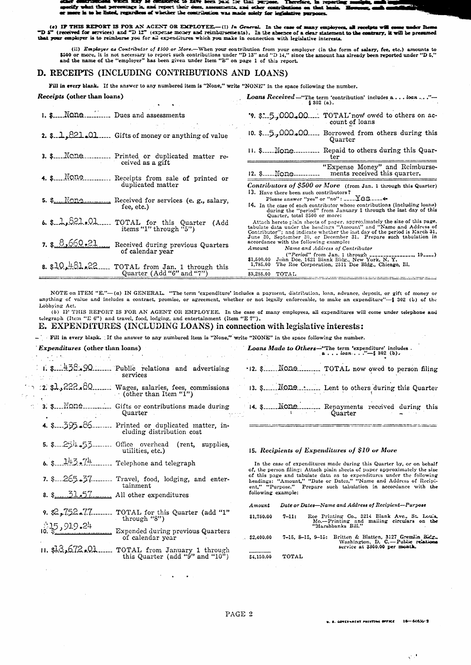-- $+ -$ ify wi es ti .<br>st per ert ti ee is m i res 5. 85 on that have re is to be listed, regardless of whether the contribution was made solely for legislative purposes.

(e) IF THIS REPORT IS FOR AN AGENT OR EMPLOYEE.—(!) In General. In the case of many employees, all receipts will come under Items "D 5" (received for services) and "D 12" (expense money and reimbursements). In the absence

(ii) *Employer as Contribulor of \$500 or More*.—When your contribution from your employer (in the form of salary, fee, etc.) amounts to \$500 or more, it is not necessary to report such contributions under "D 13" and "D 14

## D. RECEIPTS (INCLUDING CONTRIBUTIONS AND LOANS)

Fill in every blank. If the answer to any numbered item is "None," write "NONE" in the space following the number.

| <i>Receipts</i> (other than loans)                                                            |                                                               | <b>Loans</b> Received -"The term 'contribution' includes a loan  ."-<br>\$302(a).                                                                                                                                                                                                                                                   |
|-----------------------------------------------------------------------------------------------|---------------------------------------------------------------|-------------------------------------------------------------------------------------------------------------------------------------------------------------------------------------------------------------------------------------------------------------------------------------------------------------------------------------|
| i. \$ None Dues and assessments                                                               |                                                               | '9. \$2.5.000.00 TOTAL now owed to others on ac-<br>count of loans                                                                                                                                                                                                                                                                  |
| 2. \$.1,821.01.                                                                               | Gifts of money or anything of value                           | 10. \$.5,000,00 Borrowed from others during this<br>Quarter                                                                                                                                                                                                                                                                         |
| 3. \$Ncne.                                                                                    | Printed or duplicated matter re-                              | 11. \$ None Repaid to others during this Quar-<br>ter                                                                                                                                                                                                                                                                               |
| 4. $\sum_{n=1}^{\infty}$                                                                      | ceived as a gift<br>Receipts from sale of printed or          | "Expense Money" and Reimburse-<br>12. \$ None<br>ments received this quarter.                                                                                                                                                                                                                                                       |
| duplicated matter<br>5. $\frac{1}{2}$ None Received for services (e.g., salary,<br>fee, etc.) |                                                               | Contributors of \$500 or More (from Jan. 1 through this Quarter)<br>13. Have there been such contributors?<br>Please answer "yes" or "no": $---\text{\textsf{LGS}}$<br>[4. In the case of each contributor whose contributions (including loans)<br>during the "period" from January 1 through the last day of this                 |
| $6.$ \$ $2.621.01$<br>items "1" through " $5$ ")                                              | TOTAL for this Quarter (Add                                   | Quarter, total \$500 or more:<br>Attach hereto plain sheets of paper, approximately the size of this page,<br>tabulate data under the headings "Amount" and "Name and Address of<br>Contributor"; and indicate whether the last day of the period is March 31,<br>June 30, September 30, or December 31. Prepare such tabulation in |
| $7.$ \$ $8,660.21$<br>of calendar year                                                        | Received during previous Quarters                             | accordance with the following example:<br>Amount<br>Name and Address of Contributor                                                                                                                                                                                                                                                 |
| 8. \$10.461.22                                                                                | TOTAL from Jan. 1 through this<br>Quarter $(Add "6" and "7")$ | $("Period" from Jan. 1 through _______1 19)$<br>\$1,500.00 John Doe, 1621 Biank Bldg., New York, N. Y.<br>1,785.00 The Roe Corporation, 2511 Doe Bldg., Chicago, Ill.<br>\$3,285.00 TOTAL                                                                                                                                           |

NOTE on ITEM "E."-(a) IN GENERAL. "The term 'expenditure' includes a payment, distribution, loan, advance, deposit, or gift of money or anything of value and includes a contract, promise, or agreement, whether or not legally enforceable, to make an expenditure"-- § 302 (b) of the Lobbying Act.

(b) IF THIS REPORT IS FOR AN AGENT OR EMPLOYEE. In the case of many employees, all expenditures will come under telephone and telegraph (Item "E") and telegraph (Item "E") and entertainment (Item "E").

### E. EXPENDITURES (INCLUDING LOANS) in connection with legislative interests:

- Fill in every blank. If the answer to any numbered item is "None," write "NONE" in the space following the number.

# *Expenditures* (other than loans)

| <i>Expenditures</i> (other than loans) |                                                                                          |                      |           | Loans Made to Others-"The term 'expenditure' includes.<br>$a \ldots \text{ loan} \ldots \text{ ''--} \{ 302 \text{ (b)} \}$                                                                                   |
|----------------------------------------|------------------------------------------------------------------------------------------|----------------------|-----------|---------------------------------------------------------------------------------------------------------------------------------------------------------------------------------------------------------------|
|                                        | $\therefore$ 1. \$ $\frac{1}{2}S_{\infty}Q$ Public relations and advertising<br>services |                      |           | .12. \$ None TOTAL now owed to person filing                                                                                                                                                                  |
| 2. sl,222.80                           | Wages, salaries, fees, commissions<br>(other than Item "1")                              |                      |           | 13. \$ None  Lent to others during this Quarter                                                                                                                                                               |
| 3. \$None                              | Gifts or contributions made during<br>Quarter                                            |                      |           | Quarter                                                                                                                                                                                                       |
| 4. 8. 395. 86.                         | Printed or duplicated matter, in-<br>cluding distribution cost                           |                      |           |                                                                                                                                                                                                               |
| 5. 8. 254.53.                          | Office overhead (rent, supplies,<br>utilities, etc.)                                     |                      |           | 15. Recipients of Expenditures of \$10 or More                                                                                                                                                                |
| 6. S. $143.74$                         | Telephone and telegraph                                                                  |                      |           | In the case of expenditures made during this Quarter by, or on behalf<br>of, the person filing: Attach plain sheets of paper approximately the size                                                           |
|                                        | 7. $265.37$ Travel, food, lodging, and enter-<br>tainment                                | following example:   |           | of this page and tabulate data as to expenditures under the following<br>headings: "Amount," "Date or Dates," "Name and Address of Recipi-<br>ent," "Purpose." Prepare such tabulation in accordance with the |
|                                        | 8. $\frac{31.57}{100}$ All other expenditures                                            |                      |           |                                                                                                                                                                                                               |
| $9. \& 752 - 77$                       | TOTAL for this Quarter (add "1"<br>through "8")                                          | Amount<br>\$1,750.00 | $7 - 11:$ | Date or Dates-Name and Address of Recipient-Purpose<br>Roe Printing Co., 3214 Blank Ave., St. Louis<br>Mo.--Printing and mailing circulars on the<br>"Marshbanks Bill."                                       |
| 35,919.24                              | Expended during previous Quarters<br>of calendar year                                    | \$2,400.00           |           | 7-15, 8-15, 9-15; Britten & Blatten, 3127 Gremlin Bidg.<br>Washington, D. C.-Public relations                                                                                                                 |
| <u>11. s13,672.01</u>                  | TOTAL from January 1 through<br>this Quarter (add " $9$ " and " $10$ ")                  | \$4,150.00           | TOTAL     | service at \$300.00 per month.                                                                                                                                                                                |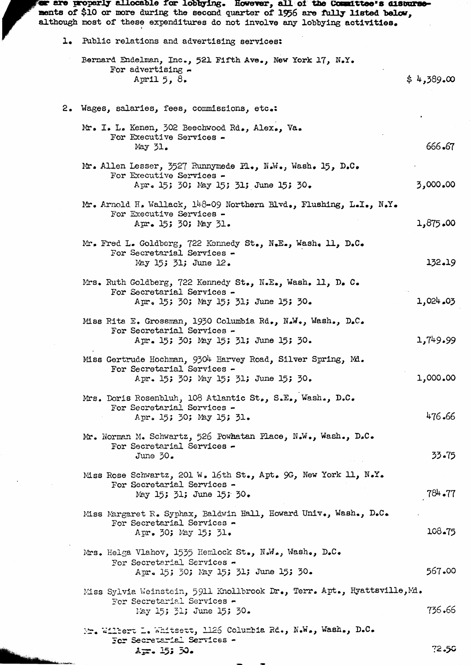| or are properly allocable for lobbying. However, all of the Committee's disburse-<br>ments of \$10 or more during the second quarter of 1956 are fully listed below, |            |
|----------------------------------------------------------------------------------------------------------------------------------------------------------------------|------------|
| although most of these expenditures do not involve any lobbying activities.                                                                                          |            |
| 1. Public relations and advertising services:                                                                                                                        |            |
| Bernard Endelman, Inc., 521 Fifth Ave., New York 17, N.Y.<br>For advertising $-$<br>April $5, 8.$                                                                    | \$4,389.00 |
| 2. Wages, salaries, fees, commissions, etc.:                                                                                                                         |            |
| Mr. I. L. Kenen, 302 Beechwood Rd., Alex., Va.<br>For Executive Services -<br>May $51.$                                                                              | 666.67     |
| Mr. Allen Lesser, 3527 Runnymede Pl., N.W., Wash. 15, D.C.<br>For Executive Services -<br>Apr. 15; 30; May 15; 31; June 15; 30.                                      | 3,000.00   |
| Mr. Arnold H. Wallack, $148-09$ Northern Blvd., Flushing, L.I., N.Y.                                                                                                 |            |
| For Executive Services -<br>Apr. 15; 30; May 31.                                                                                                                     | 1,875.00   |
| Mr. Fred L. Goldberg, 722 Kennedy St., N.E., Wash. 11, D.C.<br>For Secretarial Services -<br>May 15; 31; June 12.                                                    | 132.19     |
| Mrs. Ruth Goldberg, 722 Kennedy St., N.E., Wash. 11, D. C.<br>For Secretarial Services -                                                                             |            |
| Apr. 15; 30; May 15; 31; June 15; 30.                                                                                                                                | 1,024.03   |
| Miss Rita E. Grossman, 1930 Columbia Rd., N.W., Wash., D.C.<br>For Secretarial Services -<br>Apr. 15; 30; May 15; 31; June 15; 30.                                   | 1,749.99   |
| Miss Gertrude Hochman, 9304 Harvey Road, Silver Spring, Md.<br>For Secretarial Services -                                                                            |            |
| Apr. 15; 30; May 15; 31; June 15; 30.                                                                                                                                | 1,000.00   |
| Mrs. Doris Rosenbluh, 108 Atlantic St., S.E., Wash., D.C.<br>For Secretarial Services -<br>Apr. 15; 30; May 15; 31.                                                  | 476.66     |
| Mr. Norman M. Schwartz, 526 Powhatan Place, N.W., Wash., D.C.                                                                                                        |            |
| For Secretarial Services -<br>June $30.$                                                                                                                             | 33.75      |
| Miss Rose Schwartz, 201 W. 16th St., Apt. 9G, New York 11, N.Y.<br>For Secretarial Services -<br>May 15; 31; June 15; 30.                                            | $784 - 77$ |
| Miss Margaret R. Syphax, Baldwin Hall, Howard Univ., Wash., D.C.<br>For Secretarial Services -<br>Apr. 30; May 15; 31.                                               | 108.75     |
| Mrs. Helga Vlahov, 1535 Hemlock St., N.W., Wash., D.C.<br>For Secretarial Services -<br>Apr. 15; 30; May 15; 31; June 15; 30.                                        | 567.00     |
| Miss Sylvia Weinstein, 5911 Knollbrook Dr., Terr. Apt., Hyattsville, M.                                                                                              |            |
| For Secretarial Services -<br>May 15; 31; June 15; 30.                                                                                                               | 736.66     |
| Mr. Wilbert L. Whitsett, 1126 Columbia Rd., N.W., Wash., D.C.<br>For Secretarial Services -                                                                          |            |
| $2 - 15:50.$                                                                                                                                                         | 72.50      |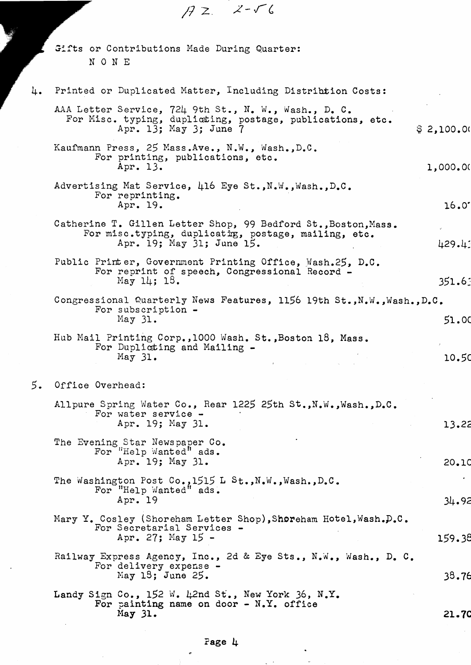|    | $AZ$ $Z-\sqrt{6}$                                                                                                                                   |            |
|----|-----------------------------------------------------------------------------------------------------------------------------------------------------|------------|
|    | Gifts or Contributions Made During Quarter:<br>NONE                                                                                                 |            |
| 4. | Printed or Duplicated Matter, Including Distribution Costs:                                                                                         |            |
|    | AAA Letter Service, 724 9th St., N. W., Wash., D. C.<br>For Misc. typing, duplicting, postage, publications, etc.<br>Apr. 13; May 3; June 7         | \$2,100.01 |
|    | Kaufmann Press, 25 Mass.Ave., N.W., Wash.,D.C.<br>For printing, publications, etc.<br>Apr. 13.                                                      | 1,000.00   |
|    | Advertising Mat Service, 416 Eye St., N.W., Wash., D.C.<br>For reprinting.<br>Apr. 19.                                                              | 16.0       |
|    | Catherine T. Gillen Letter Shop, 99 Bedford St., Boston, Mass.<br>For misc.typing, duplicating, postage, mailing, etc.<br>Apr. 19; May 31; June 15. | 429.43     |
|    | Public Printer, Government Printing Office, Wash.25, D.C.<br>For reprint of speech, Congressional Record -<br>May 14; 13.                           | 351.63     |
|    | Congressional Quarterly News Features, 1156 19th St., N.W., Wash., D.C.<br>For subscription -<br>May 31.                                            | 51.00      |
|    | Hub Mail Printing Corp., 1000 Wash. St., Boston 18, Mass.<br>For Duplicting and Mailing -<br>May $31.$                                              | 10.50      |
| 5. | Office Overhead:                                                                                                                                    |            |
|    | Allpure Spring Water Co., Rear 1225 25th St., N.W., Wash., D.C.<br>For water service -<br>Apr. 19; May 31.                                          | 13.22      |
|    | The Evening Star Newspaper Co.<br>For "Help Wanted" ads.<br>Apr. 19; May 31.                                                                        | 20.10      |
|    | The Washington Post Co., 1515 L St., N.W., Wash., D.C.<br>For "Help Wanted" ads.<br>Apr. 19                                                         | 34.92      |
|    | Mary Y. Cosley (Shoreham Letter Shop), Shoreham Hotel, Wash. D.C.<br>For Secretarial Services -<br>Apr. 27; May $15 -$                              | 159.38     |
|    | Railway Express Agency, Inc., 2d & Eye Sts., N.W., Wash., D. C.<br>For delivery expense -<br>May $13$ ; June 25.                                    | 38.76      |
|    | Landy Sign Co., 152 W. 42nd St., New York 36, N.Y.<br>For painting name on door $- N_x Y$ , office<br>May $31.$                                     | 21.70      |

٦

¢

 $\bar{z}$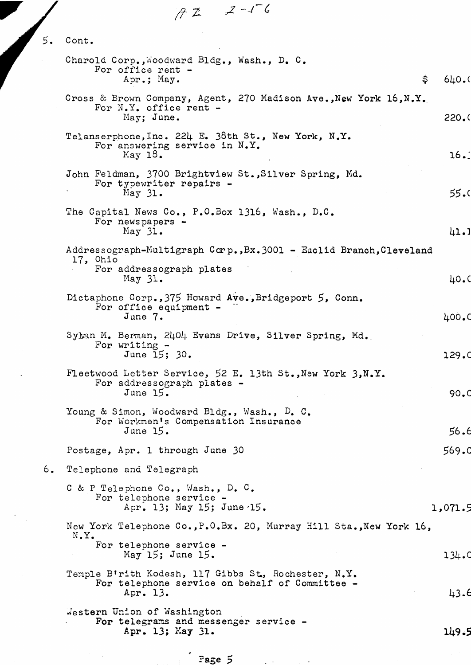$72 - 2 - 16$ 

| 5. | Cont.                                                                                                                         |             |
|----|-------------------------------------------------------------------------------------------------------------------------------|-------------|
|    | Charold Corp., Woodward Bldg., Wash., D. C.<br>For office rent -<br>Apr.; May.                                                | \$<br>640.0 |
|    | Cross & Brown Company, Agent, 270 Madison Ave., New York 16, N.Y.<br>For $N_{\bullet}Y_{\bullet}$ office rent -<br>May; June. | 220.0       |
|    | Telanserphone, Inc. 224 E. 38th St., New York, N.Y.<br>For answering service in N.Y.<br>May $18.$                             | 16.1        |
|    | John Feldman, 3700 Brightview St., Silver Spring, Md.<br>For typewriter repairs -<br>May $31.$                                | 55.         |
|    | The Capital News Co., P.O.Box 1316, Wash., D.C.<br>For newspapers -<br>May 31.                                                |             |
|    | Addressograph-Multigraph Corp., Bx.3001 - Euclid Branch, Cleveland<br>17, Ohio<br>For addressograph plates                    | 41.1        |
|    | May $31.$<br>Dictaphone Corp., 375 Howard Ave., Bridgeport 5, Conn.                                                           | 40.0        |
|    | For office equipment -<br>June 7.                                                                                             | 400.0       |
|    | Syban M. Berman, 2404 Evans Drive, Silver Spring, Md.<br>For writing $-$<br>June 15; 30.                                      | 129.0       |
|    | Fleetwood Letter Service, 52 E. 13th St., New York 3, N.Y.<br>For addressograph plates -<br>June $15.$                        | 90.0        |
|    | Young & Simon, Woodward Bldg., Wash., D. C.<br>For Workmen's Compensation Insurance<br>June $15.$                             | 56.6        |
|    | Postage, Apr. 1 through June 30                                                                                               | 569.d       |
| 6. | Telephone and Telegraph                                                                                                       |             |
|    | C & P Telephone Co., Wash., D. C.<br>For telephone service -<br>Apr. 13; May 15; June 15.                                     | 1,071.5     |
|    | New York Telephone Co., P.O.Bx. 20, Murray Hill Sta., New York 16,<br>$N_{\bullet}Y_{\bullet}$<br>For telephone service -     |             |
|    | May 15; June 15.<br>Temple B'rith Kodesh, 117 Gibbs St., Rochester, N.Y.                                                      | 134.0       |
|    | For telephone service on behalf of Committee -<br>Apr. 13.                                                                    | 43.6        |
|    | Western Union of Washington<br>For telegrams and messenger service -<br>Apr. 13; May 31.                                      | 149.5       |
|    | Page 5                                                                                                                        |             |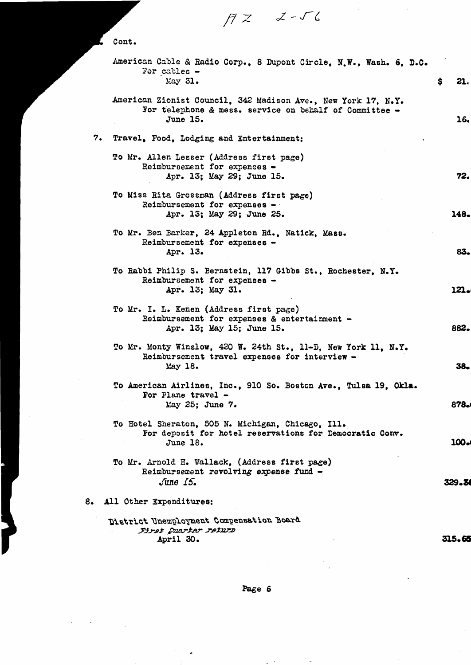American Cable & Radio Corp., 8 Dupont Circle, N.W., Wash. 6, D.C. For cables  $-$ . May 31. \$ 21. 7. Travel, Food, Lodging and Entertainment: 8. All Other Expenditures: 83. 16. 72. 38. 882. 878.1 lOOel 148. 121. 329.14 *.:2-rc. /7* <sup>z</sup> To Mr. I. L. Kenen (Address first page) Reimbursement for expenses & entertainment - Apr. 13; May 15; June 15. To American Airlines, Inc., 910 So. Boston Ave., Tulsa 19, Okla. For Plane travel - May 25; June 7. To Mr. Arnold H. Wallack, (Address first page)  $Reimbursement$  revolving expense fund  $-$ *June Io.* To Mr. Monty Winslow, 420 W. 24th st., Il-D, New York 11, N.Y. Reimbursement travel expenses for interview - May 18. To Hotel Sheraton, 505 N. Michigan, Chicago, Ill. For deposit tor hotel reservations for Democratic Conv. June 18. To Mr. Ben Barker, 24 Appleton Rd., Natick, Mass. Reimbursement for expenses - Apr. 13. Cont. To Rabbi Philip S. Bernstein, l17Gibbs st., Rochester, N.Y. Reimbursement for expenses -Apr. 13; May 31. American Zionist Council, 342 Madison Ave., New York 17, N.Y. For telephone & mess. service on behalf of Committee -June 15. To Mr. Allen Lesser (Address first page) Reimbursement for expenses -Apr. 13; May 29; June 15. To Miss Rite Grossman (Address first page) Reimbursement for expenses -Apr. 13; May 29; June 25.

315.65 District Unemployment Compensation Board *jlJ..r.B;* ~;&J.r ;,e.tJ1rJ:J April 30.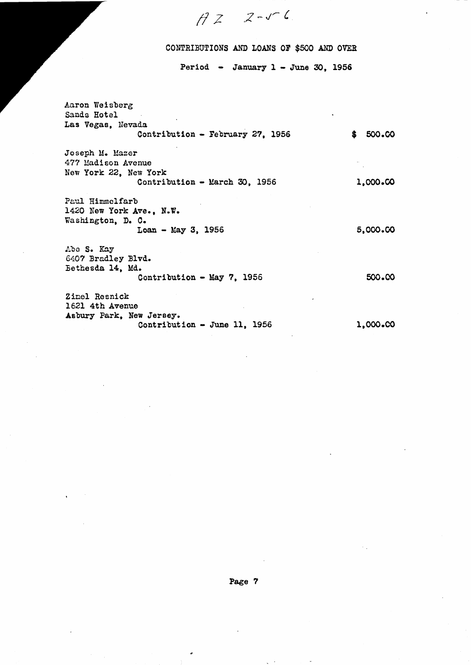## CONTRIBUTIONS AND LOANS OF \$500 AND OVER

,<sup>2</sup> v- ~~ *<sup>C</sup> /l:z*

Period - January  $1$  - June 30, 1956

Aaron Weisberg Sands Hotel Las Vegas, Nevada Contribution - February 27, 1956  $$500.00$ Joseph M. Mazer 477 Madison Avenue New York 22, New York Contribution - March 30, 1956 1,000.00 Paul Himmclfarb 1420 New York Ave., N.W. Washington, D. O.  $Loan - May 3, 1956$  5,000.00 Abe S. Kay 6407 Bradley Blvd. Bethesda 14, Md. Contribution - May 7, 1956 500.00 Zimel Resnick 1621 4th Avenue Asbury Park, New Jersey. Contribution - June 11, 1956 1,000.00

 $\bullet$